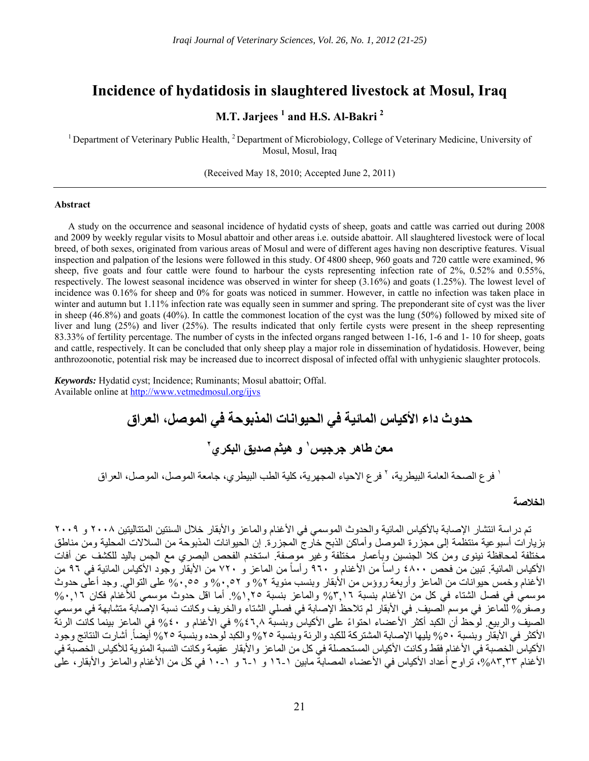# **Incidence of hydatidosis in slaughtered livestock at Mosul, Iraq**

# **M.T. Jarjees<sup>1</sup> and H.S. Al-Bakri<sup>2</sup>**

<sup>1</sup> Department of Veterinary Public Health, <sup>2</sup> Department of Microbiology, College of Veterinary Medicine, University of Mosul, Mosul, Iraq

(Received May 18, 2010; Accepted June 2, 2011)

# **Abstract**

A study on the occurrence and seasonal incidence of hydatid cysts of sheep, goats and cattle was carried out during 2008 and 2009 by weekly regular visits to Mosul abattoir and other areas i.e. outside abattoir. All slaughtered livestock were of local breed, of both sexes, originated from various areas of Mosul and were of different ages having non descriptive features. Visual inspection and palpation of the lesions were followed in this study. Of 4800 sheep, 960 goats and 720 cattle were examined, 96 sheep, five goats and four cattle were found to harbour the cysts representing infection rate of 2%, 0.52% and 0.55%, respectively. The lowest seasonal incidence was observed in winter for sheep (3.16%) and goats (1.25%). The lowest level of incidence was 0.16% for sheep and 0% for goats was noticed in summer. However, in cattle no infection was taken place in winter and autumn but 1.11% infection rate was equally seen in summer and spring. The preponderant site of cyst was the liver in sheep (46.8%) and goats (40%). In cattle the commonest location of the cyst was the lung (50%) followed by mixed site of liver and lung (25%) and liver (25%). The results indicated that only fertile cysts were present in the sheep representing 83.33% of fertility percentage. The number of cysts in the infected organs ranged between 1-16, 1-6 and 1- 10 for sheep, goats and cattle, respectively. It can be concluded that only sheep play a major role in dissemination of hydatidosis. However, being anthrozoonotic, potential risk may be increased due to incorrect disposal of infected offal with unhygienic slaughter protocols.

*Keywords:* Hydatid cyst; Incidence; Ruminants; Mosul abattoir; Offal. Available online at http://www.vetmedmosul.org/ijvs

> **حدوث داء األكياس المائية في الحيوانات المذبوحة في الموصل، العراق و ھيثم صديق البكري <sup>١</sup> معن طاھر جرجيس ٢**

<sup>י</sup> فرع الصحة العامة البيطرية، <sup>٢</sup> فرع الاحياء المجهرية، كلية الطب البيطر ي، جامعة الموصل، الموصل، العر اق

### **الخالصة**

تم دراسة انتشار الإصابة بالأكياس المائية والحدوث الموسمي في الأغنام والماعز والأبقار خلال السنتين المتتاليتين ٢٠٠٨ و ٢٠٠٩ بزيارات أسبوعية منتظمة إلى مجزرة الموصل وأماكن الذبح خارج المجزرة. إن الحيوانات المذبوحة من السالالت المحلية ومن مناطق مختلفة لمحافظة نينوى ومن كال الجنسين وبأعمار مختلفة وغير موصفة. استخدم الفحص البصري مع الجس باليد للكشف عن أفات الأكياس المائية. تبين من فحص ٤٨٠٠ راساً من الأغنام و ٩٦٠ رأساً من الماعز و ٧٢٠ من الأبقار وجود الأكياس المائية في ٩٦ من األغنام وخمس حيوانات من الماعز وأربعة روؤس من األبقار وبنسب مئوية %٢ و %٠,٥٢ و %٠,٥٥ على التوالي. وجد أعلى حدوث موسمي في فصل الشتاء في كل من الأغنام بنسبة ٣,١٦% والماعز بنسبة ٢٥,١٫٢٥. أما اقل حدوث موسمي للأغنام فكان ١٦,٠٦% وصفر % للماعز في موسم الصيف. في الأبقار لم تلاحظ الإصابة في فصلي الشتاء والخريف وكانت نسبة الإصابة متشابهة في موسمي ر<br>الصيف والربيع. لوحظ أن الكبد أكثر الأعضاء احتواءً على الأكياس وبنسبة 51,4 % في الأغنام و ٤٠% في الماعز ببنما كانت الرئة الأكثر في الأبقار وبنسبة ٥٠% يليها الإصابة المشتر كة للكبد و الر ئة وبنسبة ٢٥% و الكبد لو حده وبنسبة ٢٥% أيضاً. أشار ت النتائج و جو د الأكياس الخصبة في الأغنام فقط وكانت الأكياس المستحصلة في كل من الماعز والأبقار عقيمة وكانت النسبة المئوية للأكياس الخصبة في الأغنام ٨٣,٣٣، تراوح أعداد الأكياس في الأعضاء المصابة مابين ١-١٦ و ١-٦ و ١-١٠ في كل من الأغنام والماعز والأبقار، على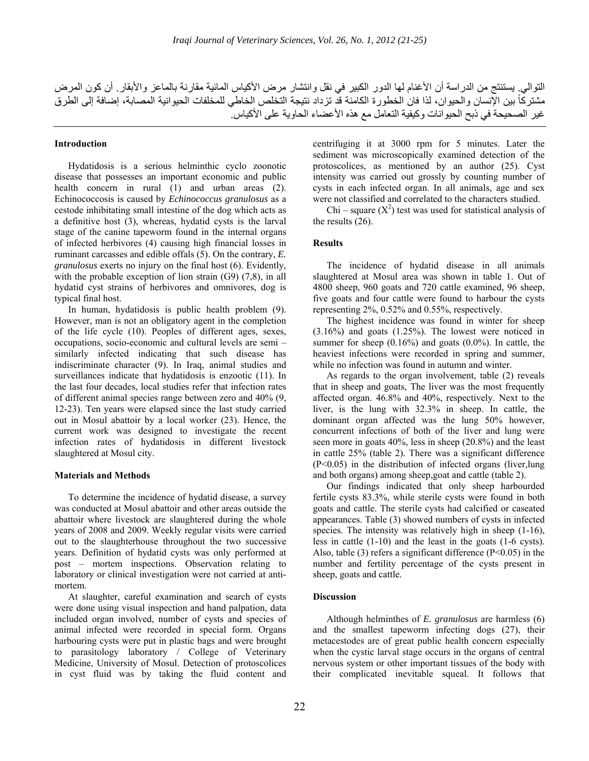التوالي<sub>.</sub> يستنتج من الدراسة أن الأغنام لها الدور الكبير في نقل وانتشار مرض الأكياس المائية مقارنة بالماعز والأبقار<sub>.</sub> أن كون المرض مشتركاً بين الإنسان والحيوان، لذا فان الخطورة الكامنة قد تزداد نتيجة التخلص الخاطي للمخلفات الحيوانية المصابة، إضافة إلى الطرق غير الصحيحة في ذبح الحيوانات وكيفية التعامل مع هذه الأعضاء الحاوية على الأكياس.

#### **Introduction**

Hydatidosis is a serious helminthic cyclo zoonotic disease that possesses an important economic and public health concern in rural (1) and urban areas (2). Echinococcosis is caused by *Echinococcus granulosus* as a cestode inhibitating small intestine of the dog which acts as a definitive host (3), whereas, hydatid cysts is the larval stage of the canine tapeworm found in the internal organs of infected herbivores (4) causing high financial losses in ruminant carcasses and edible offals (5). On the contrary, *E. granulosus* exerts no injury on the final host (6). Evidently, with the probable exception of lion strain (G9) (7.8), in all hydatid cyst strains of herbivores and omnivores, dog is typical final host.

In human, hydatidosis is public health problem (9). However, man is not an obligatory agent in the completion of the life cycle (10). Peoples of different ages, sexes, occupations, socio-economic and cultural levels are semi – similarly infected indicating that such disease has indiscriminate character (9). In Iraq, animal studies and surveillances indicate that hydatidosis is enzootic (11). In the last four decades, local studies refer that infection rates of different animal species range between zero and 40% (9, 12-23). Ten years were elapsed since the last study carried out in Mosul abattoir by a local worker (23). Hence, the current work was designed to investigate the recent infection rates of hydatidosis in different livestock slaughtered at Mosul city.

#### **Materials and Methods**

To determine the incidence of hydatid disease, a survey was conducted at Mosul abattoir and other areas outside the abattoir where livestock are slaughtered during the whole years of 2008 and 2009. Weekly regular visits were carried out to the slaughterhouse throughout the two successive years. Definition of hydatid cysts was only performed at post – mortem inspections. Observation relating to laboratory or clinical investigation were not carried at antimortem.

At slaughter, careful examination and search of cysts were done using visual inspection and hand palpation, data included organ involved, number of cysts and species of animal infected were recorded in special form. Organs harbouring cysts were put in plastic bags and were brought to parasitology laboratory / College of Veterinary Medicine, University of Mosul. Detection of protoscolices in cyst fluid was by taking the fluid content and

centrifuging it at 3000 rpm for 5 minutes. Later the sediment was microscopically examined detection of the protoscolices, as mentioned by an author (25). Cyst intensity was carried out grossly by counting number of cysts in each infected organ. In all animals, age and sex were not classified and correlated to the characters studied.

Chi – square  $(X^2)$  test was used for statistical analysis of the results (26).

# **Results**

The incidence of hydatid disease in all animals slaughtered at Mosul area was shown in table 1. Out of 4800 sheep, 960 goats and 720 cattle examined, 96 sheep, five goats and four cattle were found to harbour the cysts representing 2%, 0.52% and 0.55%, respectively.

The highest incidence was found in winter for sheep (3.16%) and goats (1.25%). The lowest were noticed in summer for sheep (0.16%) and goats (0.0%). In cattle, the heaviest infections were recorded in spring and summer, while no infection was found in autumn and winter.

As regards to the organ involvement, table (2) reveals that in sheep and goats, The liver was the most frequently affected organ. 46.8% and 40%, respectively. Next to the liver, is the lung with 32.3% in sheep. In cattle, the dominant organ affected was the lung 50% however, concurrent infections of both of the liver and lung were seen more in goats 40%, less in sheep (20.8%) and the least in cattle 25% (table 2). There was a significant difference (P<0.05) in the distribution of infected organs (liver,lung and both organs) among sheep,goat and cattle (table 2).

Our findings indicated that only sheep harbourded fertile cysts 83.3%, while sterile cysts were found in both goats and cattle. The sterile cysts had calcified or caseated appearances. Table (3) showed numbers of cysts in infected species. The intensity was relatively high in sheep (1-16), less in cattle (1-10) and the least in the goats (1-6 cysts). Also, table (3) refers a significant difference  $(P<0.05)$  in the number and fertility percentage of the cysts present in sheep, goats and cattle.

# **Discussion**

Although helminthes of *E. granulosus* are harmless (6) and the smallest tapeworm infecting dogs (27), their metacestodes are of great public health concern especially when the cystic larval stage occurs in the organs of central nervous system or other important tissues of the body with their complicated inevitable squeal. It follows that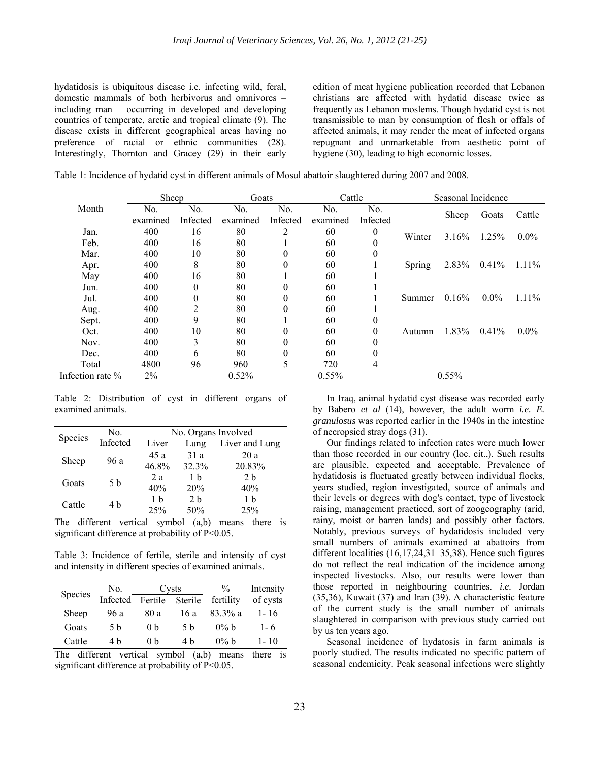hydatidosis is ubiquitous disease i.e. infecting wild, feral, domestic mammals of both herbivorus and omnivores – including man – occurring in developed and developing countries of temperate, arctic and tropical climate (9). The disease exists in different geographical areas having no preference of racial or ethnic communities (28). Interestingly, Thornton and Gracey (29) in their early edition of meat hygiene publication recorded that Lebanon christians are affected with hydatid disease twice as frequently as Lebanon moslems. Though hydatid cyst is not transmissible to man by consumption of flesh or offals of affected animals, it may render the meat of infected organs repugnant and unmarketable from aesthetic point of hygiene (30), leading to high economic losses.

Table 1: Incidence of hydatid cyst in different animals of Mosul abattoir slaughtered during 2007 and 2008.

|                  | Sheep    |                | Goats    |                | Cattle   |                | Seasonal Incidence |          |          |          |
|------------------|----------|----------------|----------|----------------|----------|----------------|--------------------|----------|----------|----------|
| Month            | No.      | No.            | No.      | N <sub>0</sub> | No.      | N <sub>0</sub> |                    | Sheep    | Goats    | Cattle   |
|                  | examined | Infected       | examined | Infected       | examined | Infected       |                    |          |          |          |
| Jan.             | 400      | 16             | 80       | 2              | 60       | $\theta$       | Winter             | 3.16%    | 1.25%    | $0.0\%$  |
| Feb.             | 400      | 16             | 80       |                | 60       |                |                    |          |          |          |
| Mar.             | 400      | 10             | 80       | $\theta$       | 60       | 0              |                    |          |          |          |
| Apr.             | 400      | 8              | 80       | $\Omega$       | 60       |                | Spring             | 2.83%    | 0.41%    | $1.11\%$ |
| May              | 400      | 16             | 80       |                | 60       |                |                    |          |          |          |
| Jun.             | 400      | $\theta$       | 80       | $\theta$       | 60       |                |                    |          |          |          |
| Jul.             | 400      | $\theta$       | 80       | $\theta$       | 60       |                | Summer             | $0.16\%$ | $0.0\%$  | $1.11\%$ |
| Aug.             | 400      | $\overline{c}$ | 80       | $\theta$       | 60       |                |                    |          |          |          |
| Sept.            | 400      | 9              | 80       |                | 60       | $\theta$       |                    |          |          |          |
| Oct.             | 400      | 10             | 80       | $\theta$       | 60       | $\Omega$       | Autumn             | $1.83\%$ | $0.41\%$ | $0.0\%$  |
| Nov.             | 400      | 3              | 80       | $\Omega$       | 60       | 0              |                    |          |          |          |
| Dec.             | 400      | 6              | 80       | $\Omega$       | 60       | 0              |                    |          |          |          |
| Total            | 4800     | 96             | 960      | 5              | 720      | 4              |                    |          |          |          |
| Infection rate % | 2%       |                | 0.52%    |                | 0.55%    |                |                    | 0.55%    |          |          |

Table 2: Distribution of cyst in different organs of examined animals.

| Species | No.      | No. Organs Involved |                |                |  |  |  |
|---------|----------|---------------------|----------------|----------------|--|--|--|
|         | Infected | Liver               | Lung           | Liver and Lung |  |  |  |
| Sheep   | 96 a     | 45 a                | 31a            | 20a            |  |  |  |
|         |          | 46.8%               | 32.3%          | 20.83%         |  |  |  |
| Goats   | 5 b      | 2a                  | 1 h            | 2 <sub>h</sub> |  |  |  |
|         |          | 40%                 | 20%            | 40%            |  |  |  |
| Cattle  | 4 b      | 1 h                 | 2 <sub>b</sub> | 1 h            |  |  |  |
|         |          | 25%                 | 50%            | 25%            |  |  |  |

The different vertical symbol (a,b) means there is significant difference at probability of P<0.05.

Table 3: Incidence of fertile, sterile and intensity of cyst and intensity in different species of examined animals.

| Species | No.      |                | Cysts   | $\frac{0}{0}$ | Intensity |  |
|---------|----------|----------------|---------|---------------|-----------|--|
|         | Infected | Fertile        | Sterile | fertility     | of cysts  |  |
| Sheep   | 96 a     | 80 a           | 16 a    | 83.3% a       | $1 - 16$  |  |
| Goats   | 5 h      | 0 <sub>b</sub> | .5 h    | $0\%$ b       | $1 - 6$   |  |
| Cattle  | 4 b      | 0 <sub>b</sub> | 4 h     | $0\%$ b       | $1 - 10$  |  |

The different vertical symbol (a,b) means there is significant difference at probability of P<0.05.

In Iraq, animal hydatid cyst disease was recorded early by Babero *et al* (14), however, the adult worm *i.e. E. granulosus* was reported earlier in the 1940s in the intestine of necropsied stray dogs (31).

Our findings related to infection rates were much lower than those recorded in our country (loc. cit.,). Such results are plausible, expected and acceptable. Prevalence of hydatidosis is fluctuated greatly between individual flocks, years studied, region investigated, source of animals and their levels or degrees with dog's contact, type of livestock raising, management practiced, sort of zoogeography (arid, rainy, moist or barren lands) and possibly other factors. Notably, previous surveys of hydatidosis included very small numbers of animals examined at abattoirs from different localities (16,17,24,31–35,38). Hence such figures do not reflect the real indication of the incidence among inspected livestocks. Also, our results were lower than those reported in neighbouring countries. *i.e.* Jordan (35,36), Kuwait (37) and Iran (39). A characteristic feature of the current study is the small number of animals slaughtered in comparison with previous study carried out by us ten years ago.

Seasonal incidence of hydatosis in farm animals is poorly studied. The results indicated no specific pattern of seasonal endemicity. Peak seasonal infections were slightly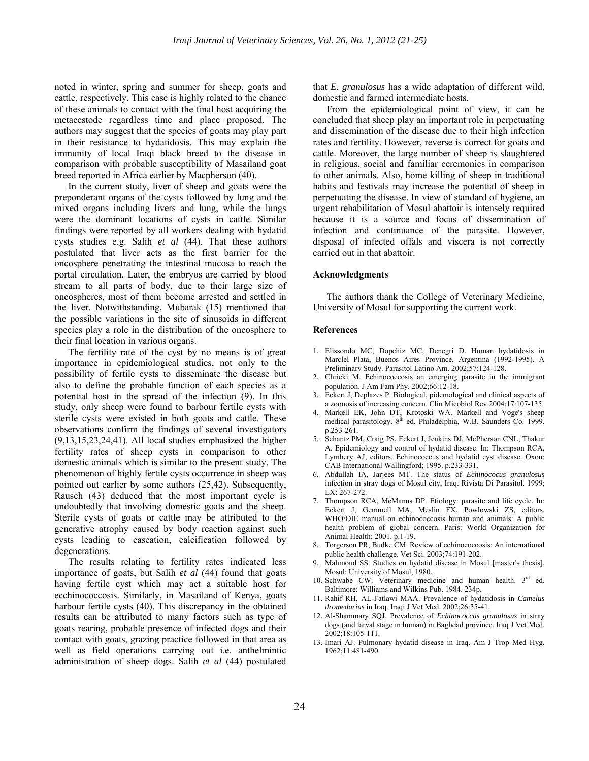noted in winter, spring and summer for sheep, goats and cattle, respectively. This case is highly related to the chance of these animals to contact with the final host acquiring the metacestode regardless time and place proposed. The authors may suggest that the species of goats may play part in their resistance to hydatidosis. This may explain the immunity of local Iraqi black breed to the disease in comparison with probable susceptibility of Masailand goat breed reported in Africa earlier by Macpherson (40).

In the current study, liver of sheep and goats were the preponderant organs of the cysts followed by lung and the mixed organs including livers and lung, while the lungs were the dominant locations of cysts in cattle. Similar findings were reported by all workers dealing with hydatid cysts studies e.g. Salih *et al* (44). That these authors postulated that liver acts as the first barrier for the oncosphere penetrating the intestinal mucosa to reach the portal circulation. Later, the embryos are carried by blood stream to all parts of body, due to their large size of oncospheres, most of them become arrested and settled in the liver. Notwithstanding, Mubarak (15) mentioned that the possible variations in the site of sinusoids in different species play a role in the distribution of the oncosphere to their final location in various organs.

The fertility rate of the cyst by no means is of great importance in epidemiological studies, not only to the possibility of fertile cysts to disseminate the disease but also to define the probable function of each species as a potential host in the spread of the infection (9). In this study, only sheep were found to barbour fertile cysts with sterile cysts were existed in both goats and cattle. These observations confirm the findings of several investigators (9,13,15,23,24,41). All local studies emphasized the higher fertility rates of sheep cysts in comparison to other domestic animals which is similar to the present study. The phenomenon of highly fertile cysts occurrence in sheep was pointed out earlier by some authors (25,42). Subsequently, Rausch (43) deduced that the most important cycle is undoubtedly that involving domestic goats and the sheep. Sterile cysts of goats or cattle may be attributed to the generative atrophy caused by body reaction against such cysts leading to caseation, calcification followed by degenerations.

The results relating to fertility rates indicated less importance of goats, but Salih *et al* (44) found that goats having fertile cyst which may act a suitable host for ecchinococcosis. Similarly, in Masailand of Kenya, goats harbour fertile cysts (40). This discrepancy in the obtained results can be attributed to many factors such as type of goats rearing, probable presence of infected dogs and their contact with goats, grazing practice followed in that area as well as field operations carrying out i.e. anthelmintic administration of sheep dogs. Salih *et al* (44) postulated

that *E. granulosus* has a wide adaptation of different wild, domestic and farmed intermediate hosts.

From the epidemiological point of view, it can be concluded that sheep play an important role in perpetuating and dissemination of the disease due to their high infection rates and fertility. However, reverse is correct for goats and cattle. Moreover, the large number of sheep is slaughtered in religious, social and familiar ceremonies in comparison to other animals. Also, home killing of sheep in traditional habits and festivals may increase the potential of sheep in perpetuating the disease. In view of standard of hygiene, an urgent rehabilitation of Mosul abattoir is intensely required because it is a source and focus of dissemination of infection and continuance of the parasite. However, disposal of infected offals and viscera is not correctly carried out in that abattoir.

# **Acknowledgments**

The authors thank the College of Veterinary Medicine, University of Mosul for supporting the current work.

### **References**

- 1. Elissondo MC, Dopchiz MC, Denegri D. Human hydatidosis in Marclel Plata, Buenos Aires Province, Argentina (1992-1995). A Preliminary Study. Parasitol Latino Am. 2002;57:124-128.
- 2. Chrieki M. Echinococcosis an emerging parasite in the immigrant population. J Am Fam Phy. 2002;66:12-18.
- 3. Eckert J, Deplazes P. Biological, pidemological and clinical aspects of a zoonosis of increasing concern. Clin Micobiol Rev.2004;17:107-135.
- 4. Markell EK, John DT, Krotoski WA. Markell and Voge's sheep medical parasitology. 8<sup>th</sup> ed. Philadelphia, W.B. Saunders Co. 1999. p.253-261.
- 5. Schantz PM, Craig PS, Eckert J, Jenkins DJ, McPherson CNL, Thakur A. Epidemiology and control of hydatid disease. In: Thompson RCA, Lymbery AJ, editors. Echinococcus and hydatid cyst disease. Oxon: CAB International Wallingford; 1995. p.233-331.
- 6. Abdullah IA, Jarjees MT. The status of *Echinococus granulosus* infection in stray dogs of Mosul city, Iraq. Rivista Di Parasitol. 1999; LX: 267-272.
- 7. Thompson RCA, McManus DP. Etiology: parasite and life cycle. In: Eckert J, Gemmell MA, Meslin FX, Powlowski ZS, editors. WHO/OIE manual on echinococcosis human and animals: A public health problem of global concern. Paris: World Organization for Animal Health; 2001. p.1-19.
- 8. Torgerson PR, Budke CM. Review of echinococcosis: An international public health challenge. Vet Sci. 2003;74:191-202.
- Mahmoud SS. Studies on hydatid disease in Mosul [master's thesis]. Mosul: University of Mosul, 1980.
- 10. Schwabe CW. Veterinary medicine and human health. 3<sup>rd</sup> ed. Baltimore: Williams and Wilkins Pub. 1984. 234p.
- 11. Rahif RH, AL-Fatlawi MAA. Prevalence of hydatidosis in *Camelus dromedarius* in Iraq. Iraqi J Vet Med. 2002;26:35-41.
- 12. Al-Shammary SQJ. Prevalence of *Echinococcus granulosus* in stray dogs (and larval stage in human) in Baghdad province, Iraq J Vet Med. 2002;18:105-111.
- 13. Imari AJ. Pulmonary hydatid disease in Iraq. Am J Trop Med Hyg. 1962;11:481-490.